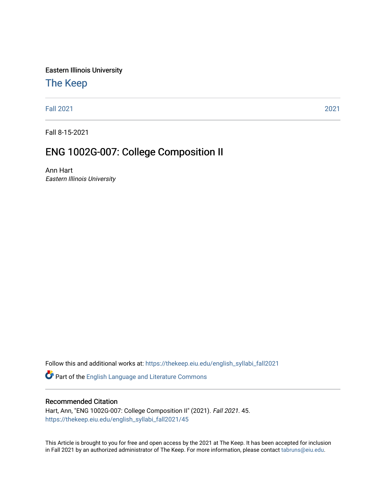Eastern Illinois University

# [The Keep](https://thekeep.eiu.edu/)

[Fall 2021](https://thekeep.eiu.edu/english_syllabi_fall2021) [2021](https://thekeep.eiu.edu/english_syllabi2021) 

Fall 8-15-2021

# ENG 1002G-007: College Composition II

Ann Hart Eastern Illinois University

Follow this and additional works at: [https://thekeep.eiu.edu/english\\_syllabi\\_fall2021](https://thekeep.eiu.edu/english_syllabi_fall2021?utm_source=thekeep.eiu.edu%2Fenglish_syllabi_fall2021%2F45&utm_medium=PDF&utm_campaign=PDFCoverPages) 

Part of the [English Language and Literature Commons](http://network.bepress.com/hgg/discipline/455?utm_source=thekeep.eiu.edu%2Fenglish_syllabi_fall2021%2F45&utm_medium=PDF&utm_campaign=PDFCoverPages)

# Recommended Citation

Hart, Ann, "ENG 1002G-007: College Composition II" (2021). Fall 2021. 45. [https://thekeep.eiu.edu/english\\_syllabi\\_fall2021/45](https://thekeep.eiu.edu/english_syllabi_fall2021/45?utm_source=thekeep.eiu.edu%2Fenglish_syllabi_fall2021%2F45&utm_medium=PDF&utm_campaign=PDFCoverPages)

This Article is brought to you for free and open access by the 2021 at The Keep. It has been accepted for inclusion in Fall 2021 by an authorized administrator of The Keep. For more information, please contact [tabruns@eiu.edu](mailto:tabruns@eiu.edu).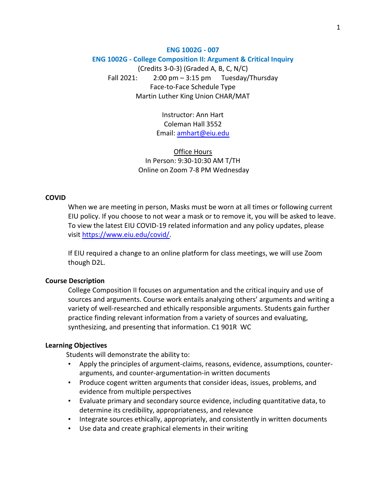## **ENG 1002G - 007**

#### **ENG 1002G - College Composition II: Argument & Critical Inquiry**

(Credits 3-0-3) (Graded A, B, C, N/C) Fall 2021:  $2:00 \text{ pm} - 3:15 \text{ pm}$  Tuesday/Thursday Face-to-Face Schedule Type Martin Luther King Union CHAR/MAT

> Instructor: Ann Hart Coleman Hall 3552 Email: [amhart@eiu.edu](mailto:amhart@eiu.edu)

Office Hours In Person: 9:30-10:30 AM T/TH Online on Zoom 7-8 PM Wednesday

## **COVID**

When we are meeting in person, Masks must be worn at all times or following current EIU policy. If you choose to not wear a mask or to remove it, you will be asked to leave. To view the latest EIU COVID-19 related information and any policy updates, please visit [https://www.eiu.edu/covid/.](https://www.eiu.edu/covid/)

If EIU required a change to an online platform for class meetings, we will use Zoom though D2L.

#### **Course Description**

College Composition II focuses on argumentation and the critical inquiry and use of sources and arguments. Course work entails analyzing others' arguments and writing a variety of well-researched and ethically responsible arguments. Students gain further practice finding relevant information from a variety of sources and evaluating, synthesizing, and presenting that information. C1 901R WC

#### **Learning Objectives**

Students will demonstrate the ability to:

- Apply the principles of argument-claims, reasons, evidence, assumptions, counterarguments, and counter-argumentation-in written documents
- Produce cogent written arguments that consider ideas, issues, problems, and evidence from multiple perspectives
- Evaluate primary and secondary source evidence, including quantitative data, to determine its credibility, appropriateness, and relevance
- Integrate sources ethically, appropriately, and consistently in written documents
- Use data and create graphical elements in their writing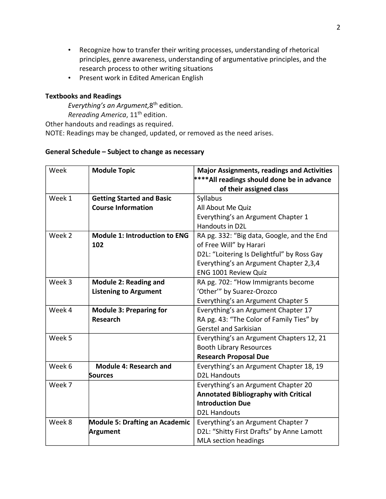- Recognize how to transfer their writing processes, understanding of rhetorical principles, genre awareness, understanding of argumentative principles, and the research process to other writing situations
- Present work in Edited American English

# **Textbooks and Readings**

*Everything's an Argument,*8 th edition. *Rereading America*, 11<sup>th</sup> edition.

Other handouts and readings as required.

NOTE: Readings may be changed, updated, or removed as the need arises.

# **General Schedule – Subject to change as necessary**

| Week<br><b>Module Topic</b>                    |                                  | <b>Major Assignments, readings and Activities</b> |  |
|------------------------------------------------|----------------------------------|---------------------------------------------------|--|
|                                                |                                  | ****All readings should done be in advance        |  |
|                                                |                                  | of their assigned class                           |  |
| Week 1                                         | <b>Getting Started and Basic</b> | Syllabus                                          |  |
|                                                | <b>Course Information</b>        | All About Me Quiz                                 |  |
|                                                |                                  | Everything's an Argument Chapter 1                |  |
|                                                |                                  | Handouts in D2L                                   |  |
| Week 2<br><b>Module 1: Introduction to ENG</b> |                                  | RA pg. 332: "Big data, Google, and the End        |  |
|                                                | 102                              | of Free Will" by Harari                           |  |
|                                                |                                  | D2L: "Loitering Is Delightful" by Ross Gay        |  |
|                                                |                                  | Everything's an Argument Chapter 2,3,4            |  |
|                                                |                                  | <b>ENG 1001 Review Quiz</b>                       |  |
| Week 3<br><b>Module 2: Reading and</b>         |                                  | RA pg. 702: "How Immigrants become                |  |
|                                                | <b>Listening to Argument</b>     | 'Other'" by Suarez-Orozco                         |  |
|                                                |                                  | Everything's an Argument Chapter 5                |  |
| Week 4                                         | <b>Module 3: Preparing for</b>   | Everything's an Argument Chapter 17               |  |
|                                                | <b>Research</b>                  | RA pg. 43: "The Color of Family Ties" by          |  |
|                                                |                                  | <b>Gerstel and Sarkisian</b>                      |  |
| Week 5                                         |                                  | Everything's an Argument Chapters 12, 21          |  |
|                                                |                                  | <b>Booth Library Resources</b>                    |  |
|                                                |                                  | <b>Research Proposal Due</b>                      |  |
| Week 6                                         | <b>Module 4: Research and</b>    | Everything's an Argument Chapter 18, 19           |  |
|                                                | <b>Sources</b>                   | <b>D2L Handouts</b>                               |  |
| Week 7                                         |                                  | Everything's an Argument Chapter 20               |  |
|                                                |                                  | <b>Annotated Bibliography with Critical</b>       |  |
|                                                |                                  | <b>Introduction Due</b>                           |  |
|                                                |                                  | <b>D2L Handouts</b>                               |  |
| Week 8                                         | Module 5: Drafting an Academic   | Everything's an Argument Chapter 7                |  |
|                                                | Argument                         | D2L: "Shitty First Drafts" by Anne Lamott         |  |
|                                                |                                  | MLA section headings                              |  |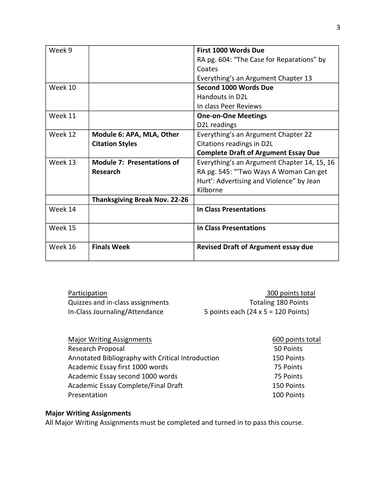| Week 9  |                                      | First 1000 Words Due                        |  |
|---------|--------------------------------------|---------------------------------------------|--|
|         |                                      | RA pg. 604: "The Case for Reparations" by   |  |
|         |                                      | Coates                                      |  |
|         |                                      | Everything's an Argument Chapter 13         |  |
| Week 10 |                                      | Second 1000 Words Due                       |  |
|         |                                      | Handouts in D2L                             |  |
|         |                                      | In class Peer Reviews                       |  |
| Week 11 |                                      | <b>One-on-One Meetings</b>                  |  |
|         |                                      | D2L readings                                |  |
| Week 12 | Module 6: APA, MLA, Other            | Everything's an Argument Chapter 22         |  |
|         | <b>Citation Styles</b>               | Citations readings in D2L                   |  |
|         |                                      | <b>Complete Draft of Argument Essay Due</b> |  |
| Week 13 | <b>Module 7: Presentations of</b>    | Everything's an Argument Chapter 14, 15, 16 |  |
|         | Research                             | RA pg. 545: "'Two Ways A Woman Can get      |  |
|         |                                      | Hurt': Advertising and Violence" by Jean    |  |
|         |                                      | Kilborne                                    |  |
|         | <b>Thanksgiving Break Nov. 22-26</b> |                                             |  |
| Week 14 |                                      | <b>In Class Presentations</b>               |  |
|         |                                      |                                             |  |
| Week 15 |                                      | In Class Presentations                      |  |
|         |                                      |                                             |  |
| Week 16 | <b>Finals Week</b>                   | <b>Revised Draft of Argument essay due</b>  |  |
|         |                                      |                                             |  |

| Participation                    | 300 points total                           |
|----------------------------------|--------------------------------------------|
| Quizzes and in-class assignments | <b>Totaling 180 Points</b>                 |
| In-Class Journaling/Attendance   | 5 points each $(24 \times 5 = 120$ Points) |

| <b>Major Writing Assignments</b>                  | 600 points total |
|---------------------------------------------------|------------------|
| Research Proposal                                 | 50 Points        |
| Annotated Bibliography with Critical Introduction | 150 Points       |
| Academic Essay first 1000 words                   | 75 Points        |
| Academic Essay second 1000 words                  | 75 Points        |
| Academic Essay Complete/Final Draft               | 150 Points       |
| Presentation                                      | 100 Points       |

# **Major Writing Assignments**

All Major Writing Assignments must be completed and turned in to pass this course.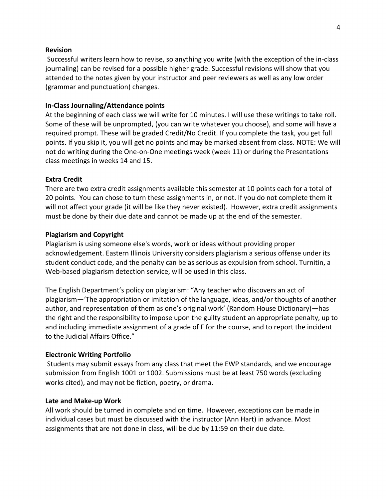# **Revision**

 Successful writers learn how to revise, so anything you write (with the exception of the in-class journaling) can be revised for a possible higher grade. Successful revisions will show that you attended to the notes given by your instructor and peer reviewers as well as any low order (grammar and punctuation) changes.

# **In-Class Journaling/Attendance points**

At the beginning of each class we will write for 10 minutes. I will use these writings to take roll. Some of these will be unprompted, (you can write whatever you choose), and some will have a required prompt. These will be graded Credit/No Credit. If you complete the task, you get full points. If you skip it, you will get no points and may be marked absent from class. NOTE: We will not do writing during the One-on-One meetings week (week 11) or during the Presentations class meetings in weeks 14 and 15.

#### **Extra Credit**

There are two extra credit assignments available this semester at 10 points each for a total of 20 points. You can chose to turn these assignments in, or not. If you do not complete them it will not affect your grade (it will be like they never existed). However, extra credit assignments must be done by their due date and cannot be made up at the end of the semester.

#### **Plagiarism and Copyright**

Plagiarism is using someone else's words, work or ideas without providing proper acknowledgement. Eastern Illinois University considers plagiarism a serious offense under its student conduct code, and the penalty can be as serious as expulsion from school. Turnitin, a Web-based plagiarism detection service, will be used in this class.

The English Department's policy on plagiarism: "Any teacher who discovers an act of plagiarism—'The appropriation or imitation of the language, ideas, and/or thoughts of another author, and representation of them as one's original work' (Random House Dictionary)—has the right and the responsibility to impose upon the guilty student an appropriate penalty, up to and including immediate assignment of a grade of F for the course, and to report the incident to the Judicial Affairs Office."

#### **Electronic Writing Portfolio**

 Students may submit essays from any class that meet the EWP standards, and we encourage submission from English 1001 or 1002. Submissions must be at least 750 words (excluding works cited), and may not be fiction, poetry, or drama.

#### **Late and Make-up Work**

All work should be turned in complete and on time. However, exceptions can be made in individual cases but must be discussed with the instructor (Ann Hart) in advance. Most assignments that are not done in class, will be due by 11:59 on their due date.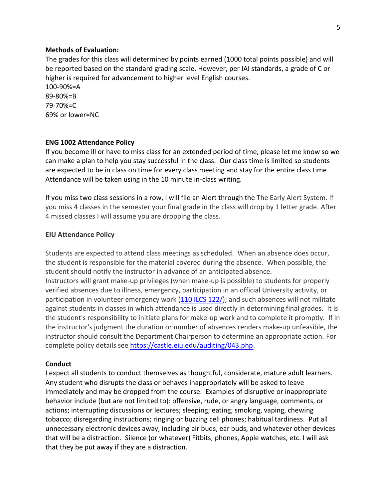# **Methods of Evaluation:**

The grades for this class will determined by points earned (1000 total points possible) and will be reported based on the standard grading scale. However, per IAI standards, a grade of C or higher is required for advancement to higher level English courses.

100-90%=A 89-80%=B 79-70%=C 69% or lower=NC

## **ENG 1002 Attendance Policy**

If you become ill or have to miss class for an extended period of time, please let me know so we can make a plan to help you stay successful in the class. Our class time is limited so students are expected to be in class on time for every class meeting and stay for the entire class time. Attendance will be taken using in the 10 minute in-class writing.

If you miss two class sessions in a row, I will file an Alert through the The Early Alert System. If you miss 4 classes in the semester your final grade in the class will drop by 1 letter grade. After 4 missed classes I will assume you are dropping the class.

#### **EIU Attendance Policy**

Students are expected to attend class meetings as scheduled. When an absence does occur, the student is responsible for the material covered during the absence. When possible, the student should notify the instructor in advance of an anticipated absence. Instructors will grant make-up privileges (when make-up is possible) to students for properly

verified absences due to illness, emergency, participation in an official University activity, or participation in volunteer emergency work [\(110 ILCS 122/\)](http://www.ilga.gov/legislation/ilcs/ilcs3.asp?ActID=2803&ChapAct=110%C2%A0ILCS%C2%A0122/&ChapterID=18&ChapterName=HIGHER+EDUCATION&ActName=Volunteer+Emergency+Worker+Higher+Education+Protection+Act.l); and such absences will not militate against students in classes in which attendance is used directly in determining final grades. It is the student's responsibility to initiate plans for make-up work and to complete it promptly. If in the instructor's judgment the duration or number of absences renders make-up unfeasible, the instructor should consult the Department Chairperson to determine an appropriate action. For complete policy details see [https://castle.eiu.edu/auditing/043.php.](https://castle.eiu.edu/auditing/043.php)

# **Conduct**

I expect all students to conduct themselves as thoughtful, considerate, mature adult learners. Any student who disrupts the class or behaves inappropriately will be asked to leave immediately and may be dropped from the course. Examples of disruptive or inappropriate behavior include (but are not limited to): offensive, rude, or angry language, comments, or actions; interrupting discussions or lectures; sleeping; eating; smoking, vaping, chewing tobacco; disregarding instructions; ringing or buzzing cell phones; habitual tardiness. Put all unnecessary electronic devices away, including air buds, ear buds, and whatever other devices that will be a distraction. Silence (or whatever) Fitbits, phones, Apple watches, etc. I will ask that they be put away if they are a distraction.